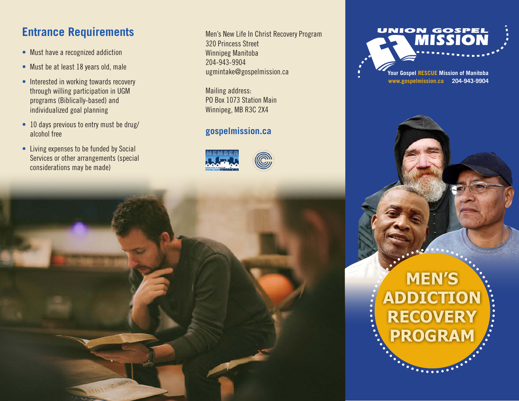## **Entrance Requirements**

- Must have a recognized addiction
- Must be at least 18 years old, male
- Interested in working towards recovery through willing participation in UGM programs (Biblically-based) and individualized goal planning
- 10 days previous to entry must be drug/ alcohol free
- Living expenses to be funded by Social Services or other arrangements (special considerations may be made)

Men's New Life In Christ Recovery Program 320 Princess Street Winnipeg Manitoba 204-943-9904 ugmintake@gospelmission.ca

Mailing address: PO Box 1073 Station Main Winnipeg, MB R3C 2X4

### **gospelmission.ca**





**www.gospelmission.ca 204-943-9904**